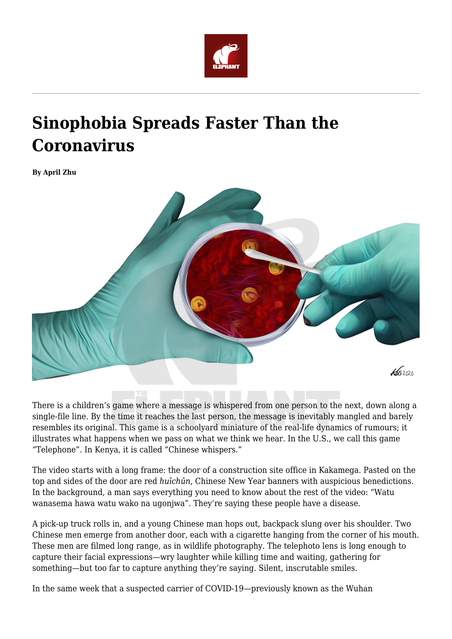

## **Sinophobia Spreads Faster Than the Coronavirus**

**By April Zhu**



There is a children's game where a message is whispered from one person to the next, down along a single-file line. By the time it reaches the last person, the message is inevitably mangled and barely resembles its original. This game is a schoolyard miniature of the real-life dynamics of rumours; it illustrates what happens when we pass on what we think we hear. In the U.S., we call this game "Telephone". In Kenya, it is called "Chinese whispers."

The video starts with a long frame: the door of a construction site office in Kakamega. Pasted on the top and sides of the door are red *huīchūn*, Chinese New Year banners with auspicious benedictions. In the background, a man says everything you need to know about the rest of the video: "Watu wanasema hawa watu wako na ugonjwa". They're saying these people have a disease.

A pick-up truck rolls in, and a young Chinese man hops out, backpack slung over his shoulder. Two Chinese men emerge from another door, each with a cigarette hanging from the corner of his mouth. These men are filmed long range, as in wildlife photography. The telephoto lens is long enough to capture their facial expressions—wry laughter while killing time and waiting, gathering for something—but too far to capture anything they're saying. Silent, inscrutable smiles.

In the same week that a suspected carrier of COVID-19—previously known as the Wuhan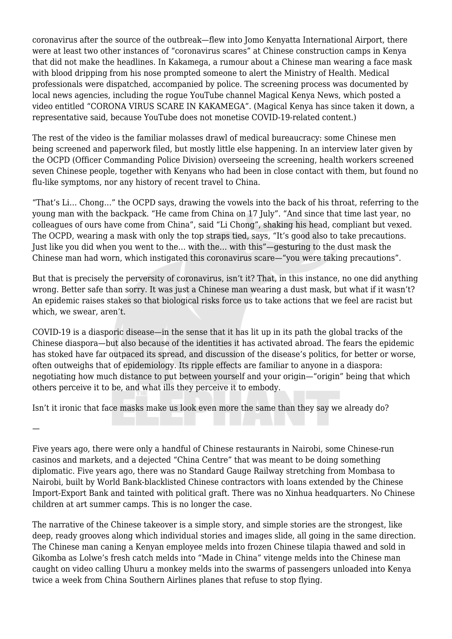coronavirus after the source of the outbreak—flew into Jomo Kenyatta International Airport, there were at least two other instances of "coronavirus scares" at Chinese construction camps in Kenya that did not make the headlines. In Kakamega, a rumour about a Chinese man wearing a face mask with blood dripping from his nose prompted someone to alert the Ministry of Health. Medical professionals were dispatched, accompanied by police. The screening process was documented by local news agencies, including the rogue YouTube channel Magical Kenya News, which posted a video entitled "CORONA VIRUS SCARE IN KAKAMEGA". (Magical Kenya has since taken it down, a representative said, because YouTube does not monetise COVID-19-related content.)

The rest of the video is the familiar molasses drawl of medical bureaucracy: some Chinese men being screened and paperwork filed, but mostly little else happening. In an interview later given by the OCPD (Officer Commanding Police Division) overseeing the screening, health workers screened seven Chinese people, together with Kenyans who had been in close contact with them, but found no flu-like symptoms, nor any history of recent travel to China.

"That's Li… Chong…" the OCPD says, drawing the vowels into the back of his throat, referring to the young man with the backpack. "He came from China on 17 July". "And since that time last year, no colleagues of ours have come from China", said "Li Chong", shaking his head, compliant but vexed. The OCPD, wearing a mask with only the top straps tied, says, "It's good also to take precautions. Just like you did when you went to the… with the… with this"—gesturing to the dust mask the Chinese man had worn, which instigated this coronavirus scare—"you were taking precautions".

But that is precisely the perversity of coronavirus, isn't it? That, in this instance, no one did anything wrong. Better safe than sorry. It was just a Chinese man wearing a dust mask, but what if it wasn't? An epidemic raises stakes so that biological risks force us to take actions that we feel are racist but which, we swear, aren't.

COVID-19 is a diasporic disease—in the sense that it has lit up in its path the global tracks of the Chinese diaspora—but also because of the identities it has activated abroad. The fears the epidemic has stoked have far outpaced its spread, and discussion of the disease's politics, for better or worse, often outweighs that of epidemiology. Its ripple effects are familiar to anyone in a diaspora: negotiating how much distance to put between yourself and your origin—"origin" being that which others perceive it to be, and what ills they perceive it to embody.

Isn't it ironic that face masks make us look even more the same than they say we already do?

—

Five years ago, there were only a handful of Chinese restaurants in Nairobi, some Chinese-run casinos and markets, and a dejected "China Centre" that was meant to be doing something diplomatic. Five years ago, there was no Standard Gauge Railway stretching from Mombasa to Nairobi, built by World Bank-blacklisted Chinese contractors with loans extended by the Chinese Import-Export Bank and tainted with political graft. There was no Xinhua headquarters. No Chinese children at art summer camps. This is no longer the case.

The narrative of the Chinese takeover is a simple story, and simple stories are the strongest, like deep, ready grooves along which individual stories and images slide, all going in the same direction. The Chinese man caning a Kenyan employee melds into frozen Chinese tilapia thawed and sold in Gikomba as Lolwe's fresh catch melds into "Made in China" vitenge melds into the Chinese man caught on video calling Uhuru a monkey melds into the swarms of passengers unloaded into Kenya twice a week from China Southern Airlines planes that refuse to stop flying.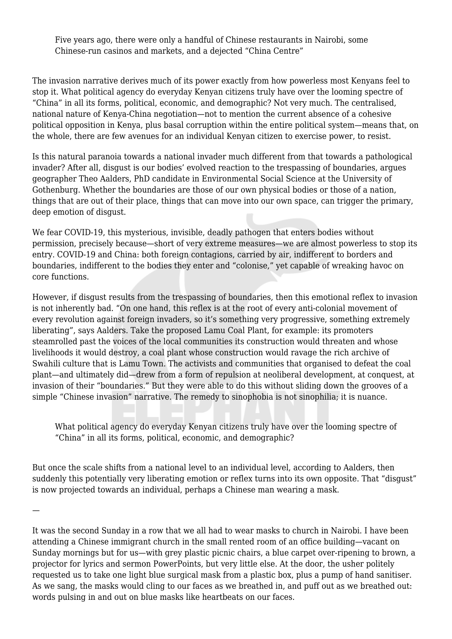Five years ago, there were only a handful of Chinese restaurants in Nairobi, some Chinese-run casinos and markets, and a dejected "China Centre"

The invasion narrative derives much of its power exactly from how powerless most Kenyans feel to stop it. What political agency do everyday Kenyan citizens truly have over the looming spectre of "China" in all its forms, political, economic, and demographic? Not very much. The centralised, national nature of Kenya-China negotiation—not to mention the current absence of a cohesive political opposition in Kenya, plus basal corruption within the entire political system—means that, on the whole, there are few avenues for an individual Kenyan citizen to exercise power, to resist.

Is this natural paranoia towards a national invader much different from that towards a pathological invader? After all, disgust is our bodies' evolved reaction to the trespassing of boundaries, argues geographer Theo Aalders, PhD candidate in Environmental Social Science at the University of Gothenburg. Whether the boundaries are those of our own physical bodies or those of a nation, things that are out of their place, things that can move into our own space, can trigger the primary, deep emotion of disgust.

We fear COVID-19, this mysterious, invisible, deadly pathogen that enters bodies without permission, precisely because—short of very extreme measures—we are almost powerless to stop its entry. COVID-19 and China: both foreign contagions, carried by air, indifferent to borders and boundaries, indifferent to the bodies they enter and "colonise," yet capable of wreaking havoc on core functions.

However, if disgust results from the trespassing of boundaries, then this emotional reflex to invasion is not inherently bad. "On one hand, this reflex is at the root of every anti-colonial movement of every revolution against foreign invaders, so it's something very progressive, something extremely liberating", says Aalders. Take the proposed Lamu Coal Plant, for example: its promoters steamrolled past the voices of the local communities its construction would threaten and whose livelihoods it would destroy, a coal plant whose construction would ravage the rich archive of Swahili culture that is Lamu Town. The activists and communities that organised to defeat the coal plant—and ultimately did—drew from a form of repulsion at neoliberal development, at conquest, at invasion of their "boundaries." But they were able to do this without sliding down the grooves of a simple "Chinese invasion" narrative. The remedy to sinophobia is not sinophilia; it is nuance.

What political agency do everyday Kenyan citizens truly have over the looming spectre of "China" in all its forms, political, economic, and demographic?

But once the scale shifts from a national level to an individual level, according to Aalders, then suddenly this potentially very liberating emotion or reflex turns into its own opposite. That "disgust" is now projected towards an individual, perhaps a Chinese man wearing a mask.

—

It was the second Sunday in a row that we all had to wear masks to church in Nairobi. I have been attending a Chinese immigrant church in the small rented room of an office building—vacant on Sunday mornings but for us—with grey plastic picnic chairs, a blue carpet over-ripening to brown, a projector for lyrics and sermon PowerPoints, but very little else. At the door, the usher politely requested us to take one light blue surgical mask from a plastic box, plus a pump of hand sanitiser. As we sang, the masks would cling to our faces as we breathed in, and puff out as we breathed out: words pulsing in and out on blue masks like heartbeats on our faces.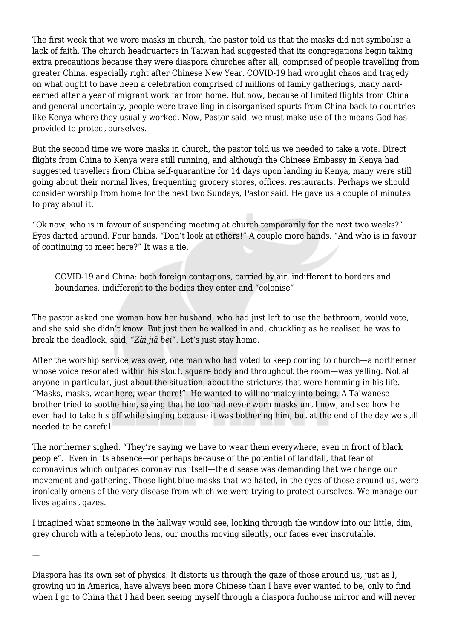The first week that we wore masks in church, the pastor told us that the masks did not symbolise a lack of faith. The church headquarters in Taiwan had suggested that its congregations begin taking extra precautions because they were diaspora churches after all, comprised of people travelling from greater China, especially right after Chinese New Year. COVID-19 had wrought chaos and tragedy on what ought to have been a celebration comprised of millions of family gatherings, many hardearned after a year of migrant work far from home. But now, because of limited flights from China and general uncertainty, people were travelling in disorganised spurts from China back to countries like Kenya where they usually worked. Now, Pastor said, we must make use of the means God has provided to protect ourselves.

But the second time we wore masks in church, the pastor told us we needed to take a vote. Direct flights from China to Kenya were still running, and although the Chinese Embassy in Kenya had suggested travellers from China self-quarantine for 14 days upon landing in Kenya, many were still going about their normal lives, frequenting grocery stores, offices, restaurants. Perhaps we should consider worship from home for the next two Sundays, Pastor said. He gave us a couple of minutes to pray about it.

"Ok now, who is in favour of suspending meeting at church temporarily for the next two weeks?" Eyes darted around. Four hands. "Don't look at others!" A couple more hands. "And who is in favour of continuing to meet here?" It was a tie.

COVID-19 and China: both foreign contagions, carried by air, indifferent to borders and boundaries, indifferent to the bodies they enter and "colonise"

The pastor asked one woman how her husband, who had just left to use the bathroom, would vote, and she said she didn't know. But just then he walked in and, chuckling as he realised he was to break the deadlock, said, "*Zài jiā bei*". Let's just stay home.

After the worship service was over, one man who had voted to keep coming to church—a northerner whose voice resonated within his stout, square body and throughout the room—was yelling. Not at anyone in particular, just about the situation, about the strictures that were hemming in his life. "Masks, masks, wear here, wear there!". He wanted to will normalcy into being. A Taiwanese brother tried to soothe him, saying that he too had never worn masks until now, and see how he even had to take his off while singing because it was bothering him, but at the end of the day we still needed to be careful.

The northerner sighed. "They're saying we have to wear them everywhere, even in front of black people". Even in its absence—or perhaps because of the potential of landfall, that fear of coronavirus which outpaces coronavirus itself—the disease was demanding that we change our movement and gathering. Those light blue masks that we hated, in the eyes of those around us, were ironically omens of the very disease from which we were trying to protect ourselves. We manage our lives against gazes.

I imagined what someone in the hallway would see, looking through the window into our little, dim, grey church with a telephoto lens, our mouths moving silently, our faces ever inscrutable.

—

Diaspora has its own set of physics. It distorts us through the gaze of those around us, just as I, growing up in America, have always been more Chinese than I have ever wanted to be, only to find when I go to China that I had been seeing myself through a diaspora funhouse mirror and will never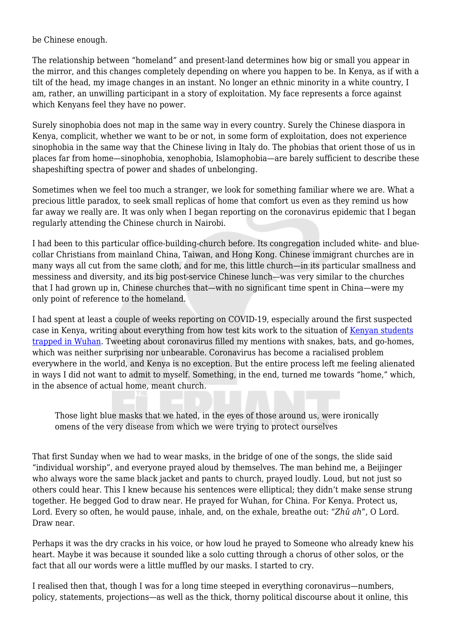be Chinese enough.

The relationship between "homeland" and present-land determines how big or small you appear in the mirror, and this changes completely depending on where you happen to be. In Kenya, as if with a tilt of the head, my image changes in an instant. No longer an ethnic minority in a white country, I am, rather, an unwilling participant in a story of exploitation. My face represents a force against which Kenyans feel they have no power.

Surely sinophobia does not map in the same way in every country. Surely the Chinese diaspora in Kenya, complicit, whether we want to be or not, in some form of exploitation, does not experience sinophobia in the same way that the Chinese living in Italy do. The phobias that orient those of us in places far from home—sinophobia, xenophobia, Islamophobia—are barely sufficient to describe these shapeshifting spectra of power and shades of unbelonging.

Sometimes when we feel too much a stranger, we look for something familiar where we are. What a precious little paradox, to seek small replicas of home that comfort us even as they remind us how far away we really are. It was only when I began reporting on the coronavirus epidemic that I began regularly attending the Chinese church in Nairobi.

I had been to this particular office-building-church before. Its congregation included white- and bluecollar Christians from mainland China, Taiwan, and Hong Kong. Chinese immigrant churches are in many ways all cut from the same cloth, and for me, this little church—in its particular smallness and messiness and diversity, and its big post-service Chinese lunch—was very similar to the churches that I had grown up in, Chinese churches that—with no significant time spent in China—were my only point of reference to the homeland.

I had spent at least a couple of weeks reporting on COVID-19, especially around the first suspected case in Kenya, writing about everything from how test kits work to the situation of [Kenyan students](https://supchina.com/2020/02/05/kenyan-students-in-wuhan-plead-for-evacuation/) [trapped in Wuhan](https://supchina.com/2020/02/05/kenyan-students-in-wuhan-plead-for-evacuation/). Tweeting about coronavirus filled my mentions with snakes, bats, and go-homes, which was neither surprising nor unbearable. Coronavirus has become a racialised problem everywhere in the world, and Kenya is no exception. But the entire process left me feeling alienated in ways I did not want to admit to myself. Something, in the end, turned me towards "home," which, in the absence of actual home, meant church.

Those light blue masks that we hated, in the eyes of those around us, were ironically omens of the very disease from which we were trying to protect ourselves

That first Sunday when we had to wear masks, in the bridge of one of the songs, the slide said "individual worship", and everyone prayed aloud by themselves. The man behind me, a Beijinger who always wore the same black jacket and pants to church, prayed loudly. Loud, but not just so others could hear. This I knew because his sentences were elliptical; they didn't make sense strung together. He begged God to draw near. He prayed for Wuhan, for China. For Kenya. Protect us, Lord. Every so often, he would pause, inhale, and, on the exhale, breathe out: "*Zhǔ ah*", O Lord. Draw near.

Perhaps it was the dry cracks in his voice, or how loud he prayed to Someone who already knew his heart. Maybe it was because it sounded like a solo cutting through a chorus of other solos, or the fact that all our words were a little muffled by our masks. I started to cry.

I realised then that, though I was for a long time steeped in everything coronavirus—numbers, policy, statements, projections—as well as the thick, thorny political discourse about it online, this